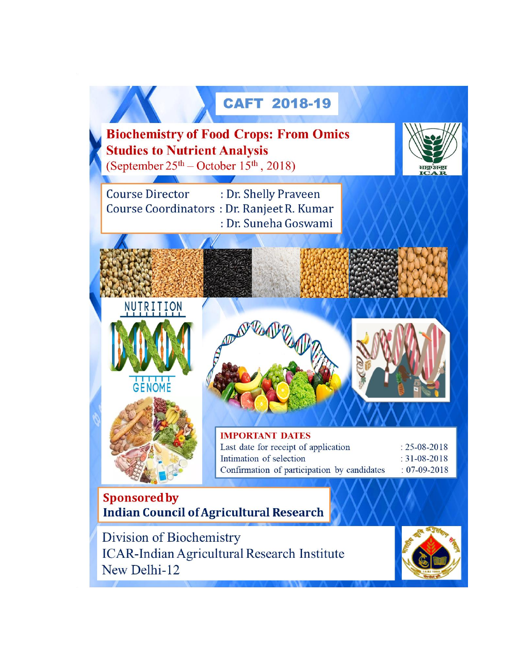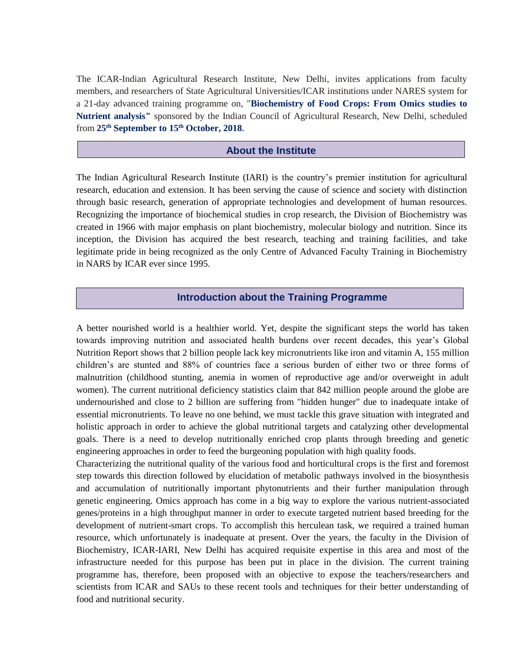The ICAR-Indian Agricultural Research Institute, New Delhi, invites applications from faculty members, and researchers of State Agricultural Universities/ICAR institutions under NARES system for a 21-day advanced training programme on, "**Biochemistry of Food Crops: From Omics studies to Nutrient analysis"** sponsored by the Indian Council of Agricultural Research, New Delhi, scheduled from **25th September to 15th October, 2018.**

### **About the Institute**

The Indian Agricultural Research Institute (IARI) is the country's premier institution for agricultural research, education and extension. It has been serving the cause of science and society with distinction through basic research, generation of appropriate technologies and development of human resources. Recognizing the importance of biochemical studies in crop research, the Division of Biochemistry was created in 1966 with major emphasis on plant biochemistry, molecular biology and nutrition. Since its inception, the Division has acquired the best research, teaching and training facilities, and take legitimate pride in being recognized as the only Centre of Advanced Faculty Training in Biochemistry in NARS by ICAR ever since 1995.

### **Introduction about the Training Programme**

A better nourished world is a healthier world. Yet, despite the significant steps the world has taken towards improving nutrition and associated health burdens over recent decades, this year's Global Nutrition Report shows that 2 billion people lack key micronutrients like iron and vitamin A, 155 million children's are stunted and 88% of countries face a serious burden of either two or three forms of malnutrition (childhood stunting, anemia in women of reproductive age and/or overweight in adult women). The current nutritional deficiency statistics claim that 842 million people around the globe are undernourished and close to 2 billion are suffering from "hidden hunger" due to inadequate intake of essential micronutrients. To leave no one behind, we must tackle this grave situation with integrated and holistic approach in order to achieve the global nutritional targets and catalyzing other developmental goals. There is a need to develop nutritionally enriched crop plants through breeding and genetic engineering approaches in order to feed the burgeoning population with high quality foods.

Characterizing the nutritional quality of the various food and horticultural crops is the first and foremost step towards this direction followed by elucidation of metabolic pathways involved in the biosynthesis and accumulation of nutritionally important phytonutrients and their further manipulation through genetic engineering. Omics approach has come in a big way to explore the various nutrient-associated genes/proteins in a high throughput manner in order to execute targeted nutrient based breeding for the development of nutrient-smart crops. To accomplish this herculean task, we required a trained human resource, which unfortunately is inadequate at present. Over the years, the faculty in the Division of Biochemistry, ICAR-IARI, New Delhi has acquired requisite expertise in this area and most of the infrastructure needed for this purpose has been put in place in the division. The current training programme has, therefore, been proposed with an objective to expose the teachers/researchers and scientists from ICAR and SAUs to these recent tools and techniques for their better understanding of food and nutritional security.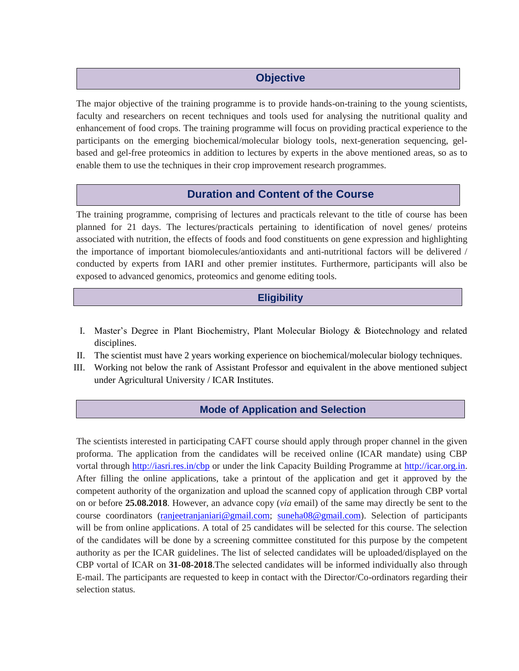# **Objective**

The major objective of the training programme is to provide hands-on-training to the young scientists, faculty and researchers on recent techniques and tools used for analysing the nutritional quality and enhancement of food crops. The training programme will focus on providing practical experience to the participants on the emerging biochemical/molecular biology tools, next-generation sequencing, gelbased and gel-free proteomics in addition to lectures by experts in the above mentioned areas, so as to enable them to use the techniques in their crop improvement research programmes.

# **Duration and Content of the Course**

The training programme, comprising of lectures and practicals relevant to the title of course has been planned for 21 days. The lectures/practicals pertaining to identification of novel genes/ proteins associated with nutrition, the effects of foods and food constituents on gene expression and highlighting the importance of important biomolecules/antioxidants and anti-nutritional factors will be delivered / conducted by experts from IARI and other premier institutes. Furthermore, participants will also be exposed to advanced genomics, proteomics and genome editing tools.

## **Eligibility**

- I. Master's Degree in Plant Biochemistry, Plant Molecular Biology & Biotechnology and related disciplines.
- II. The scientist must have 2 years working experience on biochemical/molecular biology techniques.
- III. Working not below the rank of Assistant Professor and equivalent in the above mentioned subject under Agricultural University / ICAR Institutes.

## **Mode of Application and Selection**

The scientists interested in participating CAFT course should apply through proper channel in the given proforma. The application from the candidates will be received online (ICAR mandate) using CBP vortal through<http://iasri.res.in/cbp> or under the link Capacity Building Programme at [http://icar.org.in.](http://icar.org.in/) After filling the online applications, take a printout of the application and get it approved by the competent authority of the organization and upload the scanned copy of application through CBP vortal on or before **25.08.2018**. However, an advance copy (*via* email) of the same may directly be sent to the course coordinators [\(ranjeetranjaniari@gmail.com;](mailto:ranjeetranjaniari@gmail.com) [suneha08@gmail.com\)](mailto:suneha08@gmail.com). Selection of participants will be from online applications. A total of 25 candidates will be selected for this course. The selection of the candidates will be done by a screening committee constituted for this purpose by the competent authority as per the ICAR guidelines. The list of selected candidates will be uploaded/displayed on the CBP vortal of ICAR on **31-08-2018**.The selected candidates will be informed individually also through E-mail. The participants are requested to keep in contact with the Director/Co-ordinators regarding their selection status.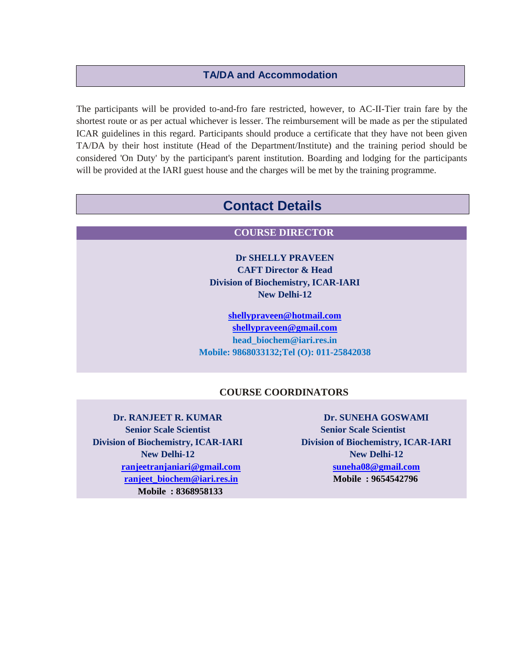### **TA/DA and Accommodation**

The participants will be provided to-and-fro fare restricted, however, to AC-II-Tier train fare by the shortest route or as per actual whichever is lesser. The reimbursement will be made as per the stipulated ICAR guidelines in this regard. Participants should produce a certificate that they have not been given TA/DA by their host institute (Head of the Department/Institute) and the training period should be considered 'On Duty' by the participant's parent institution. Boarding and lodging for the participants will be provided at the IARI guest house and the charges will be met by the training programme.

# **Contact Details**

### **COURSE DIRECTOR**

**Dr SHELLY PRAVEEN CAFT Director & Head Division of Biochemistry, ICAR-IARI New Delhi-12**

**[shellypraveen@hotmail.com](mailto:shellypraveen@hotmail.com) [shellypraveen@gmail.com](mailto:shellypraveen@gmail.com) [head\\_biochem@iari.res.in](mailto:head_biochem@iari.res.in) Mobile: 9868033132;Tel (O): 011-25842038**

### **COURSE COORDINATORS**

**Dr. RANJEET R. KUMAR Senior Scale Scientist Division of Biochemistry, ICAR-IARI New Delhi-12 [ranjeetranjaniari@gmail.com](mailto:ranjeetranjaniari@gmail.com) [ranjeet\\_biochem@iari.res.in](mailto:ranjeet_biochem@iari.res.in) Mobile : 8368958133**

**Dr. SUNEHA GOSWAMI Senior Scale Scientist Division of Biochemistry, ICAR-IARI New Delhi-12 [suneha08@gmail.com](mailto:suneha08@gmail.com) Mobile : 9654542796**